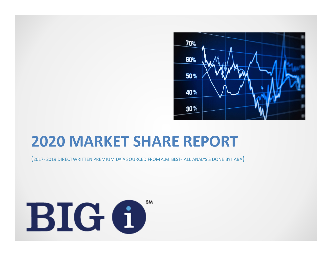

# **2020 MARKET SHARE REPORT**

(2017‐ <sup>2019</sup> DIRECTWRITTEN PREMIUM DATA SOURCED FROM A.M. BEST‐ ALL ANALYSIS DONE BY IIABA)

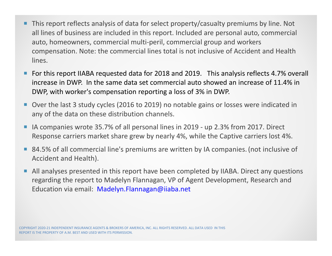- ш This report reflects analysis of data for select property/casualty premiums by line. Not all lines of business are included in this report. Included are personal auto, commercial auto, homeowners, commercial multi‐peril, commercial group and workers compensation. Note: the commercial lines total is not inclusive of Accident and Health lines.
- For this report IIABA requested data for 2018 and 2019. This analysis reflects 4.7% overall increase in DWP. In the same data set commercial auto showed an increase of 11.4% in DWP, with worker's compensation reporting <sup>a</sup> loss of 3% in DWP.
- Over the last 3 study cycles (2016 to 2019) no notable gains or losses were indicated in any of the data on these distribution channels.
- $\mathcal{L}_{\mathcal{A}}$ ■ IA companies wrote 35.7% of all personal lines in 2019 - up 2.3% from 2017. Direct Response carriers market share grew by nearly 4%, while the Captive carriers lost 4%.
- 84.5% of all commercial line's premiums are written by IA companies. (not inclusive of Accident and Health).
- Г All analyses presented in this report have been completed by IIABA. Direct any questions regarding the report to Madelyn Flannagan, VP of Agent Development, Research and Education via email: Madelyn.Flannagan@iiaba.net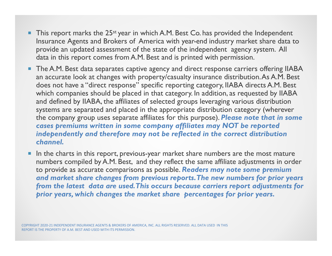- $\blacksquare$  This report marks the 25<sup>st</sup> year in which A.M. Best Co. has provided the Independent Insurance Agents and Brokers of America with year-end industry market share data to provide an updated assessment of the state of the independent agency system. All data in this report comes from A.M. Best and is printed with permission.
- **The A.M. Best data separates captive agency and direct response carriers offering IIABA** an accurate look at changes with property/casualty insurance distribution. As A.M. Best does not have a "direct response" specific reporting category, IIABA directs A.M. Best which companies should be placed in that category. In addition, as requested by IIABA and defined by IIABA, the affiliates of selected groups leveraging various distribution systems are separated and placed in the appropriate distribution category (wherever the company group uses separate affiliates for this purpose). *Please note that in some cases premiums written in some company affiliates may NOT be reported independently and therefore may not be reflected in the correct distribution channel.*
- L In the charts in this report, previous-year market share numbers are the most mature numbers compiled by A.M. Best, and they reflect the same affiliate adjustments in order to provide as accurate comparisons as possible. *Readers may note some premium and market share changes from previous reports. The new numbers for prior years from the latest data are used. This occurs because carriers report adjustments for prior years, which changes the market share percentages for prior years.*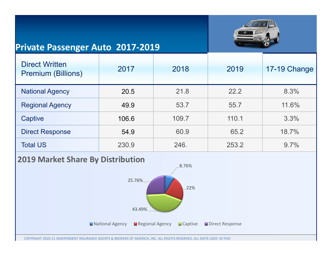

### **Private Passenger Auto 2017‐2019**

| <b>Direct Written</b><br><b>Premium (Billions)</b> | 2017  | 2018  | 2019  | 17-19 Change |
|----------------------------------------------------|-------|-------|-------|--------------|
| <b>National Agency</b>                             | 20.5  | 21.8  | 22.2  | 8.3%         |
| <b>Regional Agency</b>                             | 49.9  | 53.7  | 55.7  | 11.6%        |
| Captive                                            | 106.6 | 109.7 | 110.1 | 3.3%         |
| <b>Direct Response</b>                             | 54.9  | 60.9  | 65.2  | 18.7%        |
| <b>Total US</b>                                    | 230.9 | 246.  | 253.2 | $9.7\%$      |

#### **2019 Market Share By Distribution**

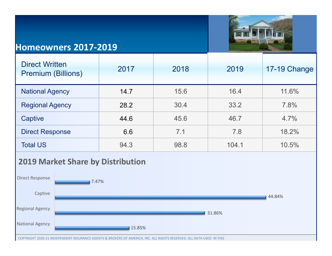

### **Homeowners 2017‐2019**

| <b>Direct Written</b><br><b>Premium (Billions)</b> | 2017 | 2018 | 2019  | 17-19 Change |
|----------------------------------------------------|------|------|-------|--------------|
| <b>National Agency</b>                             | 14.7 | 15.6 | 16.4  | 11.6%        |
| <b>Regional Agency</b>                             | 28.2 | 30.4 | 33.2  | 7.8%         |
| Captive                                            | 44.6 | 45.6 | 46.7  | 4.7%         |
| <b>Direct Response</b>                             | 6.6  | 7.1  | 7.8   | 18.2%        |
| <b>Total US</b>                                    | 94.3 | 98.8 | 104.1 | 10.5%        |

### **2019 Market Share by Distribution**

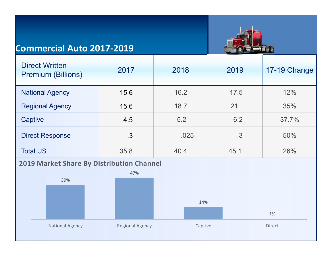## **Commercial Auto 2017‐2019**



| <b>Direct Written</b><br><b>Premium (Billions)</b> | 2017 | 2018 | 2019 | 17-19 Change |
|----------------------------------------------------|------|------|------|--------------|
| <b>National Agency</b>                             | 15.6 | 16.2 | 17.5 | 12%          |
| <b>Regional Agency</b>                             | 15.6 | 18.7 | 21.  | 35%          |
| Captive                                            | 4.5  | 5.2  | 6.2  | 37.7%        |
| <b>Direct Response</b>                             | .3   | .025 | .3   | 50%          |
| <b>Total US</b>                                    | 35.8 | 40.4 | 45.1 | 26%          |

### **2019 Market Share By Distribution Channel**

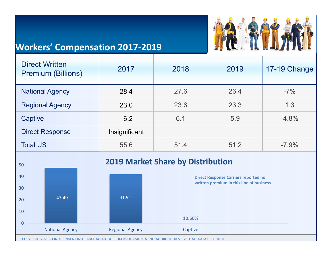# **Workers' Compensation 2017‐2019**



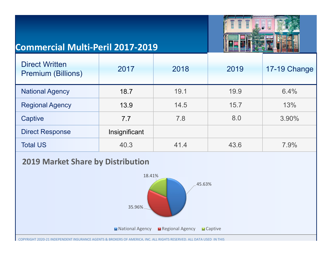

# **Commercial Multi‐Peril 2017‐2019**

| <b>Direct Written</b><br><b>Premium (Billions)</b> | 2017          | 2018 | 2019 | 17-19 Change |
|----------------------------------------------------|---------------|------|------|--------------|
| <b>National Agency</b>                             | 18.7          | 19.1 | 19.9 | 6.4%         |
| <b>Regional Agency</b>                             | 13.9          | 14.5 | 15.7 | 13%          |
| Captive                                            | 7.7           | 7.8  | 8.0  | 3.90%        |
| <b>Direct Response</b>                             | Insignificant |      |      |              |
| <b>Total US</b>                                    | 40.3          | 41.4 | 43.6 | 7.9%         |





COPYRIGHT 2020‐21 INDEPENDENT INSURANCE AGENTS & BROKERS OF AMERICA, INC. ALL RIGHTS RESERVED. ALL DATA USED IN THIS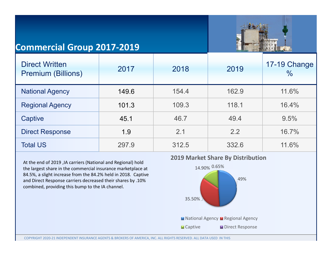

## **Commercial Group 2017‐2019**

| <b>Direct Written</b><br><b>Premium (Billions)</b> | 2017  | 2018  | 2019  | 17-19 Change<br>$\frac{0}{0}$ |
|----------------------------------------------------|-------|-------|-------|-------------------------------|
| <b>National Agency</b>                             | 149.6 | 154.4 | 162.9 | 11.6%                         |
| <b>Regional Agency</b>                             | 101.3 | 109.3 | 118.1 | 16.4%                         |
| Captive                                            | 45.1  | 46.7  | 49.4  | 9.5%                          |
| <b>Direct Response</b>                             | 1.9   | 2.1   | 2.2   | 16.7%                         |
| <b>Total US</b>                                    | 297.9 | 312.5 | 332.6 | 11.6%                         |

At the end of 2019 ,IA carriers (National and Regional) hold the largest share in the commercial insurance marketplace at 84.5%, <sup>a</sup> slight increase from the 84.2% held in 2018. Captive and Direct Response carriers decreased their shares by .10% combined, providing this bump to the IA channel.



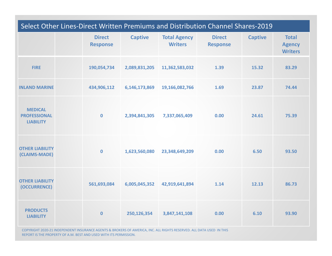| Select Other Lines-Direct Written Premiums and Distribution Channel Shares-2019 |  |                                  |                |                                       |                                  |                |                                                 |
|---------------------------------------------------------------------------------|--|----------------------------------|----------------|---------------------------------------|----------------------------------|----------------|-------------------------------------------------|
|                                                                                 |  | <b>Direct</b><br><b>Response</b> | <b>Captive</b> | <b>Total Agency</b><br><b>Writers</b> | <b>Direct</b><br><b>Response</b> | <b>Captive</b> | <b>Total</b><br><b>Agency</b><br><b>Writers</b> |
| <b>FIRE</b>                                                                     |  | 190,054,734                      | 2,089,831,205  | 11,362,583,032                        | 1.39                             | 15.32          | 83.29                                           |
| <b>INLAND MARINE</b>                                                            |  | 434,906,112                      | 6,146,173,869  | 19,166,082,766                        | 1.69                             | 23.87          | 74.44                                           |
| <b>MEDICAL</b><br><b>PROFESSIONAL</b><br><b>LIABILITY</b>                       |  | $\mathbf 0$                      | 2,394,841,305  | 7,337,065,409                         | 0.00                             | 24.61          | 75.39                                           |
| <b>OTHER LIABILITY</b><br>(CLAIMS-MADE)                                         |  | $\mathbf 0$                      | 1,623,560,080  | 23,348,649,209                        | 0.00                             | 6.50           | 93.50                                           |
| <b>OTHER LIABILITY</b><br>(OCCURRENCE)                                          |  | 561,693,084                      | 6,005,045,352  | 42,919,641,894                        | 1.14                             | 12.13          | 86.73                                           |
| <b>PRODUCTS</b><br><b>LIABILITY</b>                                             |  | $\mathbf 0$                      | 250,126,354    | 3,847,141,108                         | 0.00                             | 6.10           | 93.90                                           |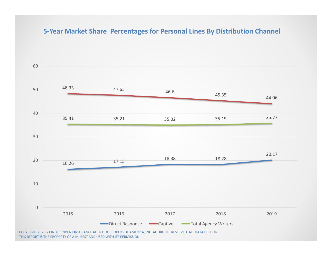#### **5‐Year Market Share Percentages for Personal Lines By Distribution Channel**



THIS REPORT IS THE PROPERTY OF A.M. BEST AND USED WITH ITS PERMISSION.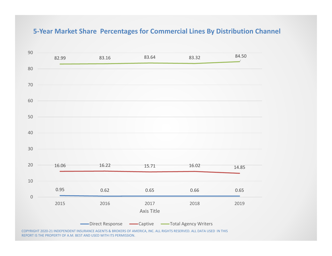#### **5‐Year Market Share Percentages for Commercial Lines By Distribution Channel**